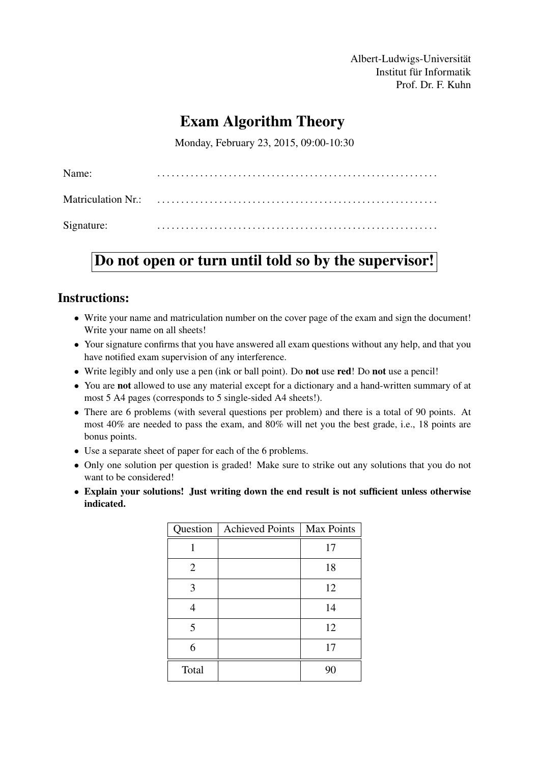Albert-Ludwigs-Universität Institut für Informatik Prof. Dr. F. Kuhn

# Exam Algorithm Theory

Monday, February 23, 2015, 09:00-10:30

| Name:      |  |
|------------|--|
|            |  |
| Signature: |  |

# Do not open or turn until told so by the supervisor!

#### Instructions:

- Write your name and matriculation number on the cover page of the exam and sign the document! Write your name on all sheets!
- Your signature confirms that you have answered all exam questions without any help, and that you have notified exam supervision of any interference.
- Write legibly and only use a pen (ink or ball point). Do **not** use **red!** Do **not** use a pencil!
- You are not allowed to use any material except for a dictionary and a hand-written summary of at most 5 A4 pages (corresponds to 5 single-sided A4 sheets!).
- There are 6 problems (with several questions per problem) and there is a total of 90 points. At most 40% are needed to pass the exam, and 80% will net you the best grade, i.e., 18 points are bonus points.
- Use a separate sheet of paper for each of the 6 problems.
- Only one solution per question is graded! Make sure to strike out any solutions that you do not want to be considered!
- Explain your solutions! Just writing down the end result is not sufficient unless otherwise indicated.

|                | Question   Achieved Points | <b>Max Points</b> |
|----------------|----------------------------|-------------------|
|                |                            | 17                |
| $\overline{2}$ |                            | 18                |
| 3              |                            | 12                |
|                |                            | 14                |
| 5              |                            | 12                |
| 6              |                            | 17                |
| Total          |                            | 90                |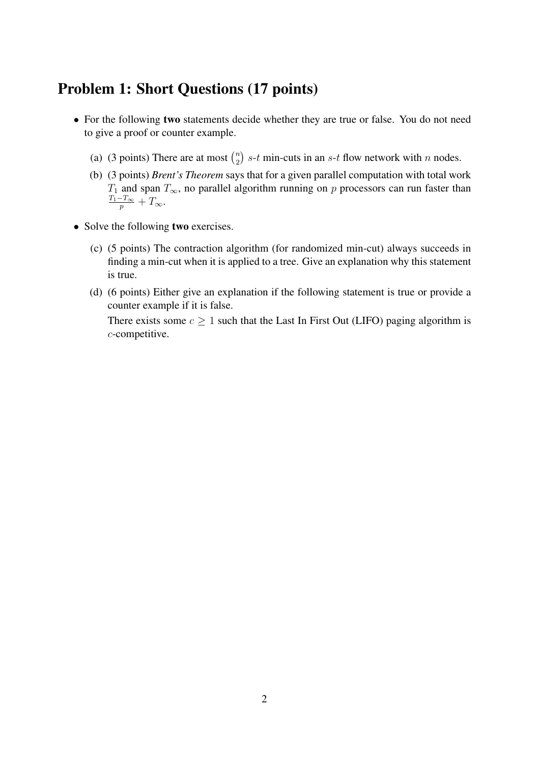### Problem 1: Short Questions (17 points)

- For the following two statements decide whether they are true or false. You do not need to give a proof or counter example.
	- (a) (3 points) There are at most  $\binom{n}{2}$  $\binom{n}{2}$  s-t min-cuts in an s-t flow network with n nodes.
	- (b) (3 points) *Brent's Theorem* says that for a given parallel computation with total work  $T_1$  and span  $T_{\infty}$ , no parallel algorithm running on p processors can run faster than  $\frac{T_1-T_{\infty}}{p}+T_{\infty}.$
- Solve the following two exercises.
	- (c) (5 points) The contraction algorithm (for randomized min-cut) always succeeds in finding a min-cut when it is applied to a tree. Give an explanation why this statement is true.
	- (d) (6 points) Either give an explanation if the following statement is true or provide a counter example if it is false.

There exists some  $c \geq 1$  such that the Last In First Out (LIFO) paging algorithm is c-competitive.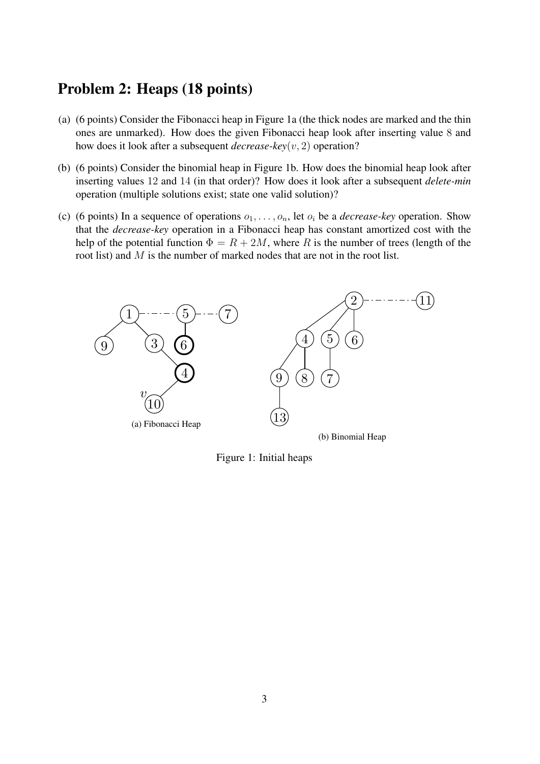## Problem 2: Heaps (18 points)

- (a) (6 points) Consider the Fibonacci heap in Figure 1a (the thick nodes are marked and the thin ones are unmarked). How does the given Fibonacci heap look after inserting value 8 and how does it look after a subsequent *decrease-key*(v, 2) operation?
- (b) (6 points) Consider the binomial heap in Figure 1b. How does the binomial heap look after inserting values 12 and 14 (in that order)? How does it look after a subsequent *delete-min* operation (multiple solutions exist; state one valid solution)?
- (c) (6 points) In a sequence of operations  $o_1, \ldots, o_n$ , let  $o_i$  be a *decrease-key* operation. Show that the *decrease-key* operation in a Fibonacci heap has constant amortized cost with the help of the potential function  $\Phi = R + 2M$ , where R is the number of trees (length of the root list) and M is the number of marked nodes that are not in the root list.



Figure 1: Initial heaps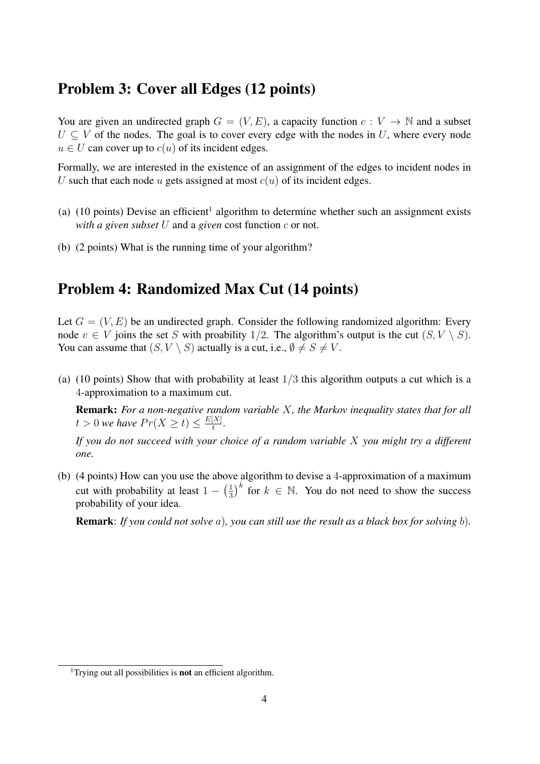#### Problem 3: Cover all Edges (12 points)

You are given an undirected graph  $G = (V, E)$ , a capacity function  $c: V \to \mathbb{N}$  and a subset  $U \subseteq V$  of the nodes. The goal is to cover every edge with the nodes in U, where every node  $u \in U$  can cover up to  $c(u)$  of its incident edges.

Formally, we are interested in the existence of an assignment of the edges to incident nodes in U such that each node u gets assigned at most  $c(u)$  of its incident edges.

- (a)  $(10 \text{ points})$  Devise an efficient<sup>1</sup> algorithm to determine whether such an assignment exists *with a given subset* U and a *given* cost function c or not.
- (b) (2 points) What is the running time of your algorithm?

# Problem 4: Randomized Max Cut (14 points)

Let  $G = (V, E)$  be an undirected graph. Consider the following randomized algorithm: Every node  $v \in V$  joins the set S with proability 1/2. The algorithm's output is the cut  $(S, V \setminus S)$ . You can assume that  $(S, V \setminus S)$  actually is a cut, i.e.,  $\emptyset \neq S \neq V$ .

(a) (10 points) Show that with probability at least  $1/3$  this algorithm outputs a cut which is a 4-approximation to a maximum cut.

Remark: *For a non-negative random variable* X*, the Markov inequality states that for all*  $t > 0$  we have  $Pr(X \ge t) \le \frac{E[X]}{t}$  $\frac{[X]}{t}$ .

*If you do not succeed with your choice of a random variable* X *you might try a different one.*

(b) (4 points) How can you use the above algorithm to devise a 4-approximation of a maximum cut with probability at least  $1 - \left(\frac{1}{3}\right)$  $\frac{1}{3}$ <sup>k</sup> for  $k \in \mathbb{N}$ . You do not need to show the success probability of your idea.

Remark: *If you could not solve* a)*, you can still use the result as a black box for solving* b)*.*

<sup>&</sup>lt;sup>1</sup>Trying out all possibilities is **not** an efficient algorithm.